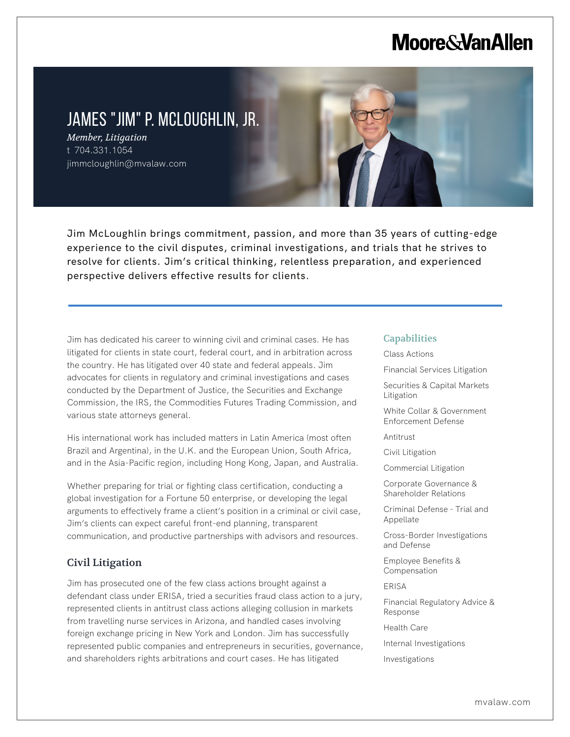# **Moore & Van Allen**

# JAMES "JIM" P. MCLOUGHLIN, JR.

*Member, Litigation* t 704.331.1054 jimmcloughlin@mvalaw.com

Jim McLoughlin brings commitment, passion, and more than 35 years of cutting-edge experience to the civil disputes, criminal investigations, and trials that he strives to resolve for clients. Jim's critical thinking, relentless preparation, and experienced perspective delivers effective results for clients.

Jim has dedicated his career to winning civil and criminal cases. He has litigated for clients in state court, federal court, and in arbitration across the country. He has litigated over 40 state and federal appeals. Jim advocates for clients in regulatory and criminal investigations and cases conducted by the Department of Justice, the Securities and Exchange Commission, the IRS, the Commodities Futures Trading Commission, and various state attorneys general.

His international work has included matters in Latin America (most often Brazil and Argentina), in the U.K. and the European Union, South Africa, and in the Asia-Pacific region, including Hong Kong, Japan, and Australia.

Whether preparing for trial or fighting class certification, conducting a global investigation for a Fortune 50 enterprise, or developing the legal arguments to effectively frame a client's position in a criminal or civil case, Jim's clients can expect careful front-end planning, transparent communication, and productive partnerships with advisors and resources.

# Civil Litigation

L

Jim has prosecuted one of the few class actions brought against a defendant class under ERISA, tried a securities fraud class action to a jury, represented clients in antitrust class actions alleging collusion in markets from travelling nurse services in Arizona, and handled cases involving foreign exchange pricing in New York and London. Jim has successfully represented public companies and entrepreneurs in securities, governance, and shareholders rights arbitrations and court cases. He has litigated

#### **Capabilities**

Class Actions

Financial Services Litigation

Securities & Capital Markets Litigation

White Collar & Government Enforcement Defense

Antitrust

Civil Litigation

Commercial Litigation

Corporate Governance & Shareholder Relations

Criminal Defense - Trial and Appellate

Cross-Border Investigations and Defense

Employee Benefits & Compensation

ERISA

Financial Regulatory Advice & Response

Health Care

- Internal Investigations
- Investigations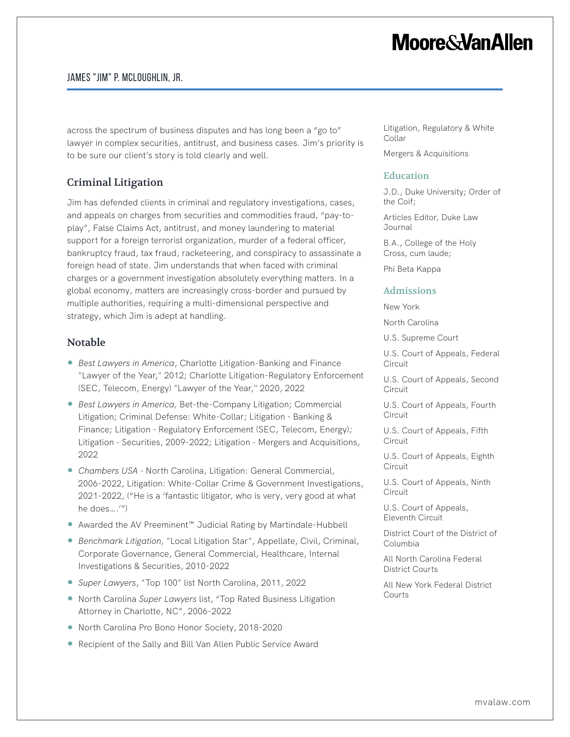# **Moore&VanAllen**

### James "Jim" P. McLoughlin, Jr.

across the spectrum of business disputes and has long been a "go to" lawyer in complex securities, antitrust, and business cases. Jim's priority is to be sure our client's story is told clearly and well.

# Criminal Litigation

Jim has defended clients in criminal and regulatory investigations, cases, and appeals on charges from securities and commodities fraud, "pay-toplay", False Claims Act, antitrust, and money laundering to material support for a foreign terrorist organization, murder of a federal officer, bankruptcy fraud, tax fraud, racketeering, and conspiracy to assassinate a foreign head of state. Jim understands that when faced with criminal charges or a government investigation absolutely everything matters. In a global economy, matters are increasingly cross-border and pursued by multiple authorities, requiring a multi-dimensional perspective and strategy, which Jim is adept at handling.

# Notable

- *Best Lawyers in America*, Charlotte Litigation-Banking and Finance "Lawyer of the Year," 2012; Charlotte Litigation-Regulatory Enforcement (SEC, Telecom, Energy) "Lawyer of the Year," 2020, 2022
- *Best Lawyers in America,* Bet-the-Company Litigation; Commercial Litigation; Criminal Defense: White-Collar; Litigation - Banking & Finance; Litigation - Regulatory Enforcement (SEC, Telecom, Energy); Litigation - Securities, 2009-2022; Litigation - Mergers and Acquisitions, 2022
- *Chambers USA* North Carolina, Litigation: General Commercial, 2006-2022, Litigation: White-Collar Crime & Government Investigations, 2021-2022, ("He is a 'fantastic litigator, who is very, very good at what he does….'")
- Awarded the AV Preeminent<sup>™</sup> Judicial Rating by Martindale-Hubbell
- *Benchmark Litigation*, "Local Litigation Star", Appellate, Civil, Criminal, Corporate Governance, General Commercial, Healthcare, Internal Investigations & Securities, 2010-2022
- *Super Lawyers*, "Top 100" list North Carolina, 2011, 2022
- North Carolina *Super Lawyers* list, "Top Rated Business Litigation Attorney in Charlotte, NC", 2006-2022
- North Carolina Pro Bono Honor Society, 2018-2020
- Recipient of the Sally and Bill Van Allen Public Service Award

Litigation, Regulatory & White Collar

Mergers & Acquisitions

#### Education

J.D., Duke University; Order of the Coif;

Articles Editor, Duke Law Journal

B.A., College of the Holy Cross, cum laude;

Phi Beta Kappa

#### Admissions

New York

North Carolina

U.S. Supreme Court

U.S. Court of Appeals, Federal Circuit

U.S. Court of Appeals, Second **Circuit** 

U.S. Court of Appeals, Fourth **Circuit** 

U.S. Court of Appeals, Fifth **Circuit** 

U.S. Court of Appeals, Eighth Circuit

U.S. Court of Appeals, Ninth Circuit

U.S. Court of Appeals, Eleventh Circuit

District Court of the District of Columbia

All North Carolina Federal District Courts

All New York Federal District Courts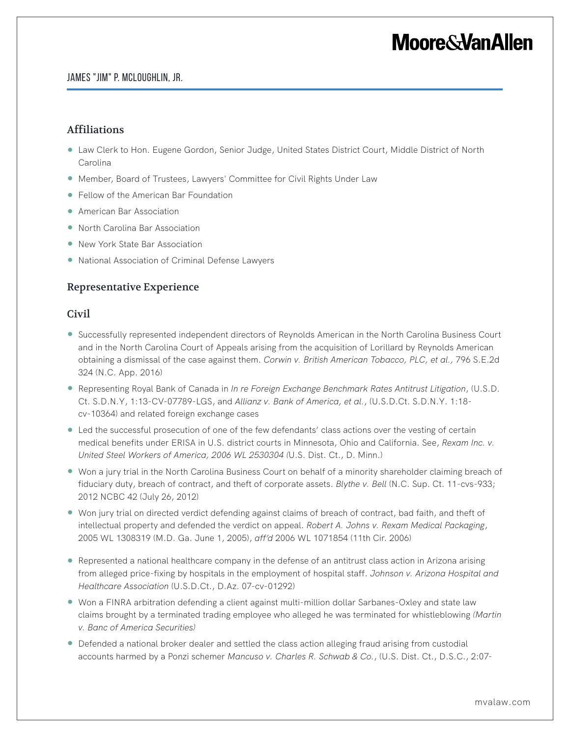# **Moore&VanAllen**

#### James "Jim" P. McLoughlin, Jr.

### Affiliations

- Law Clerk to Hon. Eugene Gordon, Senior Judge, United States District Court, Middle District of North Carolina
- Member, Board of Trustees, Lawyers' Committee for Civil Rights Under Law
- Fellow of the American Bar Foundation
- American Bar Association
- North Carolina Bar Association
- New York State Bar Association
- National Association of Criminal Defense Lawyers

# Representative Experience

### Civil

- Successfully represented independent directors of Reynolds American in the North Carolina Business Court and in the North Carolina Court of Appeals arising from the acquisition of Lorillard by Reynolds American obtaining a dismissal of the case against them. *Corwin v. British American Tobacco, PLC, et al.,* 796 S.E.2d 324 (N.C. App. 2016)
- Representing Royal Bank of Canada in *In re Foreign Exchange Benchmark Rates Antitrust Litigation*, (U.S.D. Ct. S.D.N.Y, 1:13-CV-07789-LGS, and *Allianz v. Bank of America, et al.*, (U.S.D.Ct. S.D.N.Y. 1:18 cv-10364) and related foreign exchange cases
- Led the successful prosecution of one of the few defendants' class actions over the vesting of certain medical benefits under ERISA in U.S. district courts in Minnesota, Ohio and California. See, *Rexam Inc. v. United Steel Workers of America, 2006 WL 2530304 (*U.S. Dist. Ct., D. Minn.)
- Won a jury trial in the North Carolina Business Court on behalf of a minority shareholder claiming breach of fiduciary duty, breach of contract, and theft of corporate assets. *Blythe v. Bell* (N.C. Sup. Ct. 11-cvs-933; 2012 NCBC 42 (July 26, 2012)
- Won jury trial on directed verdict defending against claims of breach of contract, bad faith, and theft of intellectual property and defended the verdict on appeal. *Robert A. Johns v. Rexam Medical Packaging*, 2005 WL 1308319 (M.D. Ga. June 1, 2005), *aff'd* 2006 WL 1071854 (11th Cir. 2006)
- Represented a national healthcare company in the defense of an antitrust class action in Arizona arising from alleged price-fixing by hospitals in the employment of hospital staff. *Johnson v. Arizona Hospital and Healthcare Association* (U.S.D.Ct., D.Az. 07-cv-01292)
- Won a FINRA arbitration defending a client against multi-million dollar Sarbanes-Oxley and state law claims brought by a terminated trading employee who alleged he was terminated for whistleblowing *(Martin v. Banc of America Securities)*
- Defended a national broker dealer and settled the class action alleging fraud arising from custodial accounts harmed by a Ponzi schemer *Mancuso v. Charles R. Schwab & Co.*, (U.S. Dist. Ct., D.S.C., 2:07-